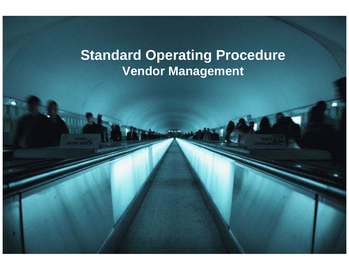# **Standard Operating Procedure Vendor Management**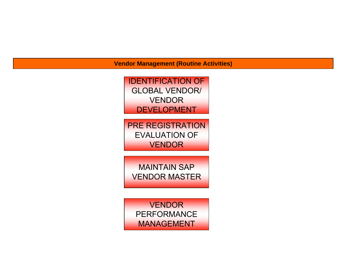**Vendor Management (Routine Activities)**



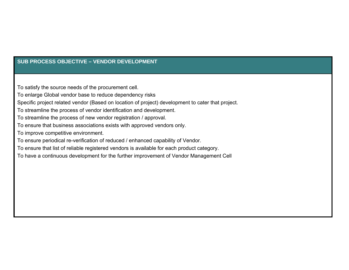# **SUB PROCESS OBJECTIVE – VENDOR DEVELOPMENT**

To satisfy the source needs of the procurement cell.

To enlarge Global vendor base to reduce dependency risks

Specific project related vendor (Based on location of project) development to cater that project.

To streamline the process of vendor identification and development.

To streamline the process of new vendor registration / approval.

To ensure that business associations exists with approved vendors only.

To improve competitive environment.

To ensure periodical re-verification of reduced / enhanced capability of Vendor.

To ensure that list of reliable registered vendors is available for each product category.

To have a continuous development for the further improvement of Vendor Management Cell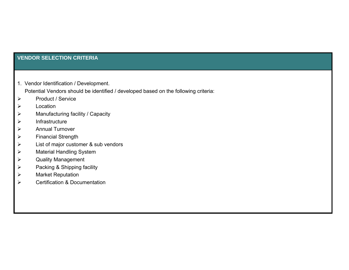# **VENDOR SELECTION CRITERIA**

1. Vendor Identification / Development.

Potential Vendors should be identified / developed based on the following criteria:

- $\blacktriangleright$ Product / Service
- $\blacktriangleright$ Location
- $\blacktriangleright$ Manufacturing facility / Capacity
- $\blacktriangleright$ Infrastructure
- $\blacktriangleright$ Annual Turnover
- $\blacktriangleright$ Financial Strength
- $\blacktriangleright$ List of major customer & sub vendors
- $\blacktriangleright$ Material Handling System
- $\blacktriangleright$ Quality Management
- $\blacktriangleright$ Packing & Shipping facility
- $\blacktriangleright$ Market Reputation
- $\blacktriangleright$ Certification & Documentation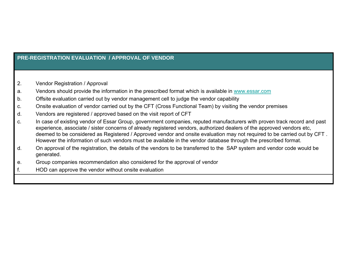# **PRE-REGISTRATION EVALUATION / APPROVAL OF VENDOR**

- 2. Vendor Registration / Approval
- a. Vendors should provide the information in the prescribed format which is available in [www.essar.com](http://www.essar.com/)
- b. Offsite evaluation carried out by vendor management cell to judge the vendor capability
- c. Onsite evaluation of vendor carried out by the CFT (Cross Functional Team) by visiting the vendor premises
- d. Vendors are registered / approved based on the visit report of CFT
- c. In case of existing vendor of Essar Group, government companies, reputed manufacturers with proven track record and past experience, associate / sister concerns of already registered vendors, authorized dealers of the approved vendors etc, deemed to be considered as Registered / Approved vendor and onsite evaluation may not required to be carried out by CFT . However the information of such vendors must be available in the vendor database through the prescribed format.
- d. On approval of the registration, the details of the vendors to be transferred to the SAP system and vendor code would be generated.
- e. Group companies recommendation also considered for the approval of vendor
- f. HOD can approve the vendor without onsite evaluation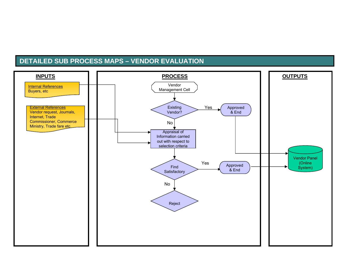# **DETAILED SUB PROCESS MAPS – VENDOR EVALUATION**

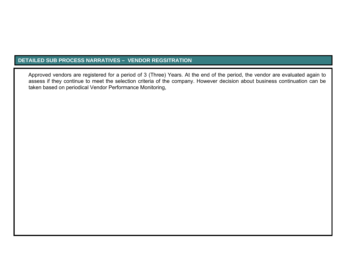# **DETAILED SUB PROCESS NARRATIVES – VENDOR REGSITRATION**

Approved vendors are registered for a period of 3 (Three) Years. At the end of the period, the vendor are evaluated again to assess if they continue to meet the selection criteria of the company. However decision about business continuation can be taken based on periodical Vendor Performance Monitoring,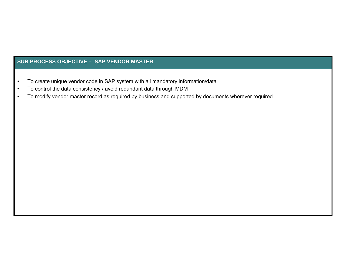## **SUB PROCESS OBJECTIVE – SAP VENDOR MASTER**

- •To create unique vendor code in SAP system with all mandatory information/data
- •To control the data consistency / avoid redundant data through MDM
- •To modify vendor master record as required by business and supported by documents wherever required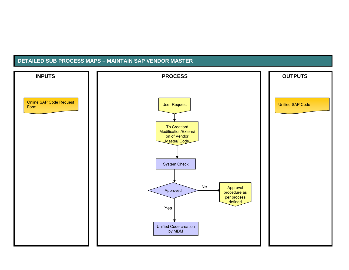## **DETAILED SUB PROCESS MAPS – MAINTAIN SAP VENDOR MASTER**

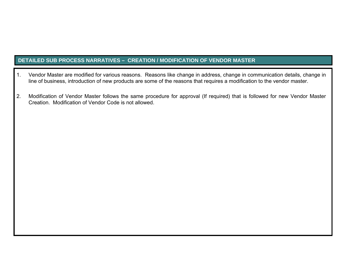# **DETAILED SUB PROCESS NARRATIVES – CREATION / MODIFICATION OF VENDOR MASTER**

- 1. Vendor Master are modified for various reasons. Reasons like change in address, change in communication details, change in line of business, introduction of new products are some of the reasons that requires a modification to the vendor master.
- 2. Modification of Vendor Master follows the same procedure for approval (If required) that is followed for new Vendor Master Creation. Modification of Vendor Code is not allowed.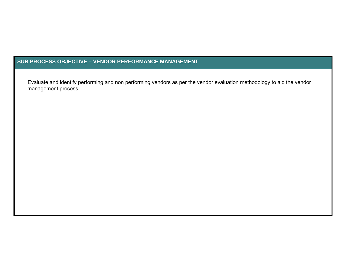## **SUB PROCESS OBJECTIVE – VENDOR PERFORMANCE MANAGEMENT**

Evaluate and identify performing and non performing vendors as per the vendor evaluation methodology to aid the vendor management process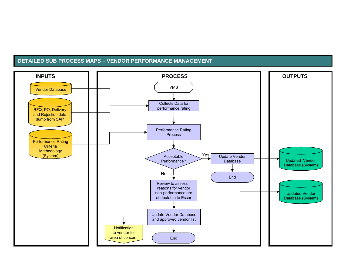#### **DETAILED SUB PROCESS MAPS – VENDOR PERFORMANCE MANAGEMENT**

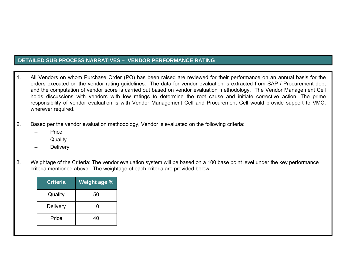# **DETAILED SUB PROCESS NARRATIVES – VENDOR PERFORMANCE RATING**

- 1. All Vendors on whom Purchase Order (PO) has been raised are reviewed for their performance on an annual basis for the orders executed on the vendor rating guidelines. The data for vendor evaluation is extracted from SAP / Procurement dept and the computation of vendor score is carried out based on vendor evaluation methodology. The Vendor Management Cell holds discussions with vendors with low ratings to determine the root cause and initiate corrective action. The prime responsibility of vendor evaluation is with Vendor Management Cell and Procurement Cell would provide support to VMC, wherever required.
- 2. Based per the vendor evaluation methodology, Vendor is evaluated on the following criteria:
	- **Price**
	- **Quality**
	- **Delivery**
- 3. Weightage of the Criteria: The vendor evaluation system will be based on a 100 base point level under the key performance criteria mentioned above. The weightage of each criteria are provided below:

| <b>Criteria</b> | <b>Weight age %</b> |
|-----------------|---------------------|
| Quality         | 50                  |
| <b>Delivery</b> | 10                  |
| Price           | 40                  |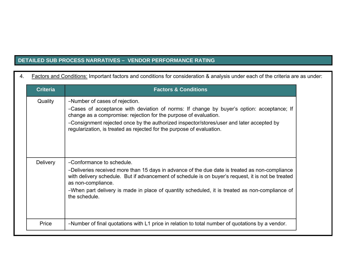# **DETAILED SUB PROCESS NARRATIVES – VENDOR PERFORMANCE RATING**

| <b>Criteria</b> | <b>Factors &amp; Conditions</b>                                                                                                                                                                                            |  |  |
|-----------------|----------------------------------------------------------------------------------------------------------------------------------------------------------------------------------------------------------------------------|--|--|
| Quality         | -Number of cases of rejection.                                                                                                                                                                                             |  |  |
|                 | -Cases of acceptance with deviation of norms: If change by buyer's option: acceptance; If<br>change as a compromise: rejection for the purpose of evaluation.                                                              |  |  |
|                 | -Consignment rejected once by the authorized inspector/stores/user and later accepted by<br>regularization, is treated as rejected for the purpose of evaluation.                                                          |  |  |
|                 |                                                                                                                                                                                                                            |  |  |
| <b>Delivery</b> | -Conformance to schedule.                                                                                                                                                                                                  |  |  |
|                 | -Deliveries received more than 15 days in advance of the due date is treated as non-compliance<br>with delivery schedule. But if advancement of schedule is on buyer's request, it is not be treated<br>as non-compliance. |  |  |
|                 | -When part delivery is made in place of quantity scheduled, it is treated as non-compliance of<br>the schedule.                                                                                                            |  |  |
|                 |                                                                                                                                                                                                                            |  |  |
| Price           | -Number of final quotations with L1 price in relation to total number of quotations by a vendor.                                                                                                                           |  |  |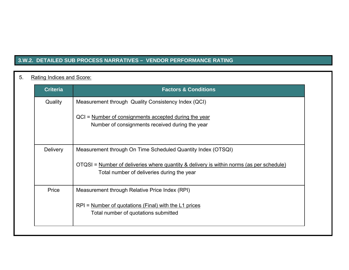# **3.W.2. DETAILED SUB PROCESS NARRATIVES – VENDOR PERFORMANCE RATING**

# 5. Rating Indices and Score:

| <b>Criteria</b> | <b>Factors &amp; Conditions</b>                                                                                                        |
|-----------------|----------------------------------------------------------------------------------------------------------------------------------------|
| Quality         | Measurement through Quality Consistency Index (QCI)                                                                                    |
|                 | QCI = Number of consignments accepted during the year<br>Number of consignments received during the year                               |
| <b>Delivery</b> | Measurement through On Time Scheduled Quantity Index (OTSQI)                                                                           |
|                 | OTQSI = Number of deliveries where quantity & delivery is within norms (as per schedule)<br>Total number of deliveries during the year |
| Price           | Measurement through Relative Price Index (RPI)                                                                                         |
|                 | $RPI =$ Number of quotations (Final) with the L1 prices<br>Total number of quotations submitted                                        |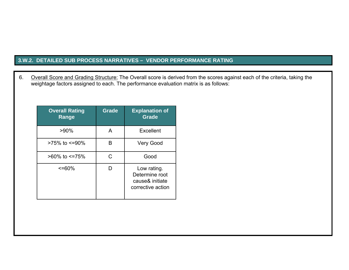# **3.W.2. DETAILED SUB PROCESS NARRATIVES – VENDOR PERFORMANCE RATING**

6. Overall Score and Grading Structure: The Overall score is derived from the scores against each of the criteria, taking the weightage factors assigned to each. The performance evaluation matrix is as follows:

| <b>Overall Rating</b><br>Range | <b>Grade</b> | <b>Explanation of</b><br><b>Grade</b>                                 |
|--------------------------------|--------------|-----------------------------------------------------------------------|
| $>90\%$                        | A            | Excellent                                                             |
| $>75\%$ to $\leq 90\%$         | B            | <b>Very Good</b>                                                      |
| $>60\%$ to $\leq$ 75%          | C            | Good                                                                  |
| $\leq$ =60%                    |              | Low rating.<br>Determine root<br>cause& initiate<br>corrective action |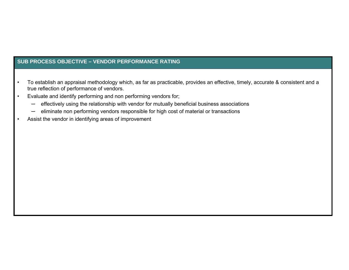# **SUB PROCESS OBJECTIVE – VENDOR PERFORMANCE RATING**

- • To establish an appraisal methodology which, as far as practicable, provides an effective, timely, accurate & consistent and a true reflection of performance of vendors.
- • Evaluate and identify performing and non performing vendors for;
	- ─effectively using the relationship with vendor for mutually beneficial business associations
	- ─eliminate non performing vendors responsible for high cost of material or transactions
- •Assist the vendor in identifying areas of improvement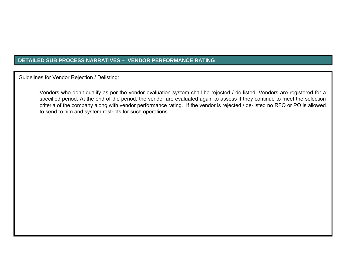# **DETAILED SUB PROCESS NARRATIVES – VENDOR PERFORMANCE RATING**

Guidelines for Vendor Rejection / Delisting:

Vendors who don't qualify as per the vendor evaluation system shall be rejected / de-listed. Vendors are registered for a specified period. At the end of the period, the vendor are evaluated again to assess if they continue to meet the selection criteria of the company along with vendor performance rating. If the vendor is rejected / de-listed no RFQ or PO is allowed to send to him and system restricts for such operations.